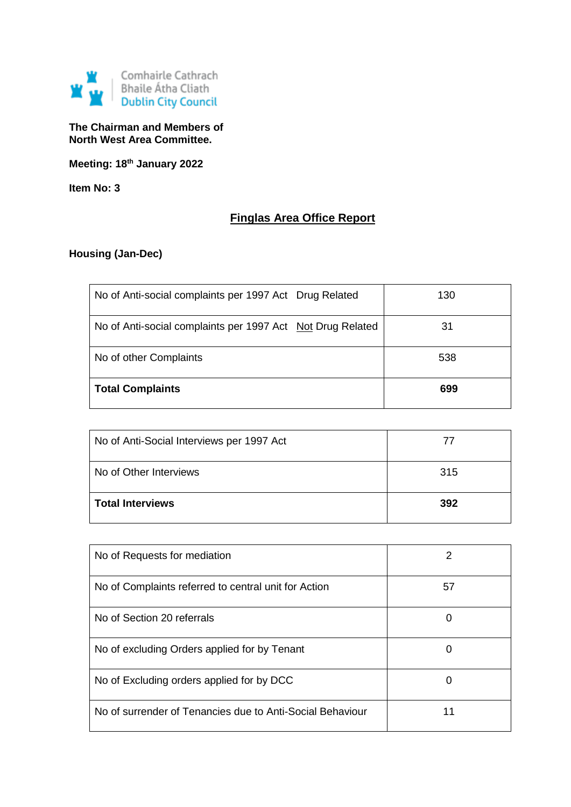

**The Chairman and Members of North West Area Committee.**

**Meeting: 18th January 2022**

**Item No: 3**

# **Finglas Area Office Report**

## **Housing (Jan-Dec)**

| No of Anti-social complaints per 1997 Act Drug Related     | 130 |
|------------------------------------------------------------|-----|
| No of Anti-social complaints per 1997 Act Not Drug Related | 31  |
| No of other Complaints                                     | 538 |
| <b>Total Complaints</b>                                    | 699 |

| No of Anti-Social Interviews per 1997 Act | $\prime\prime$ |
|-------------------------------------------|----------------|
| No of Other Interviews                    | 315            |
| <b>Total Interviews</b>                   | 392            |

| No of Requests for mediation                              |    |
|-----------------------------------------------------------|----|
| No of Complaints referred to central unit for Action      | 57 |
| No of Section 20 referrals                                | O  |
| No of excluding Orders applied for by Tenant              | 0  |
| No of Excluding orders applied for by DCC                 | O  |
| No of surrender of Tenancies due to Anti-Social Behaviour | 11 |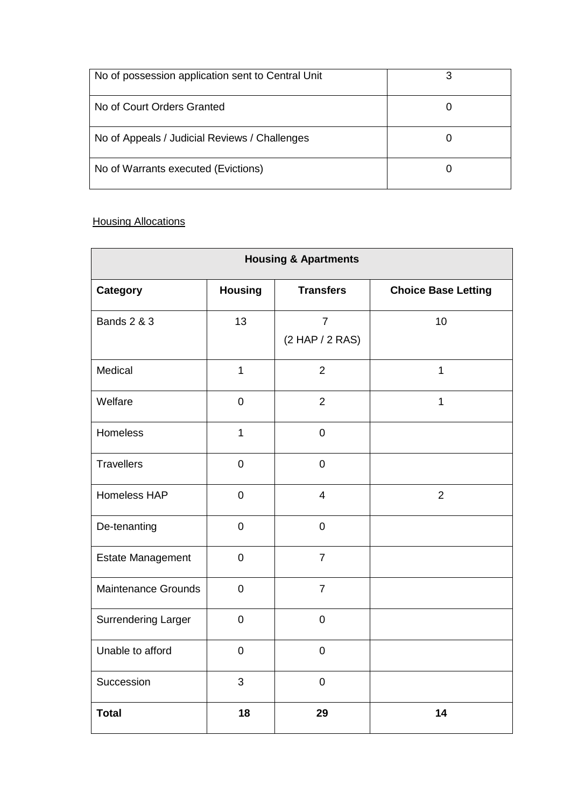| No of possession application sent to Central Unit | ว |
|---------------------------------------------------|---|
| No of Court Orders Granted                        |   |
| No of Appeals / Judicial Reviews / Challenges     |   |
| No of Warrants executed (Evictions)               |   |

## **Housing Allocations**

| <b>Housing &amp; Apartments</b> |                |                                   |                            |  |
|---------------------------------|----------------|-----------------------------------|----------------------------|--|
| Category                        | <b>Housing</b> | <b>Transfers</b>                  | <b>Choice Base Letting</b> |  |
| <b>Bands 2 &amp; 3</b>          | 13             | $\overline{7}$<br>(2 HAP / 2 RAS) | 10                         |  |
| Medical                         | $\mathbf{1}$   | $\overline{2}$                    | $\mathbf{1}$               |  |
| Welfare                         | $\pmb{0}$      | $\overline{2}$                    | $\mathbf{1}$               |  |
| <b>Homeless</b>                 | $\mathbf{1}$   | $\mathbf 0$                       |                            |  |
| <b>Travellers</b>               | $\pmb{0}$      | $\pmb{0}$                         |                            |  |
| Homeless HAP                    | $\mathbf 0$    | $\overline{\mathcal{A}}$          | $\overline{2}$             |  |
| De-tenanting                    | $\mathbf 0$    | $\mathbf 0$                       |                            |  |
| <b>Estate Management</b>        | $\mathbf 0$    | $\overline{7}$                    |                            |  |
| <b>Maintenance Grounds</b>      | $\pmb{0}$      | $\overline{7}$                    |                            |  |
| <b>Surrendering Larger</b>      | $\mathbf 0$    | $\mathbf 0$                       |                            |  |
| Unable to afford                | $\mathbf 0$    | $\overline{0}$                    |                            |  |
| Succession                      | 3              | $\mathbf 0$                       |                            |  |
| <b>Total</b>                    | 18             | 29                                | 14                         |  |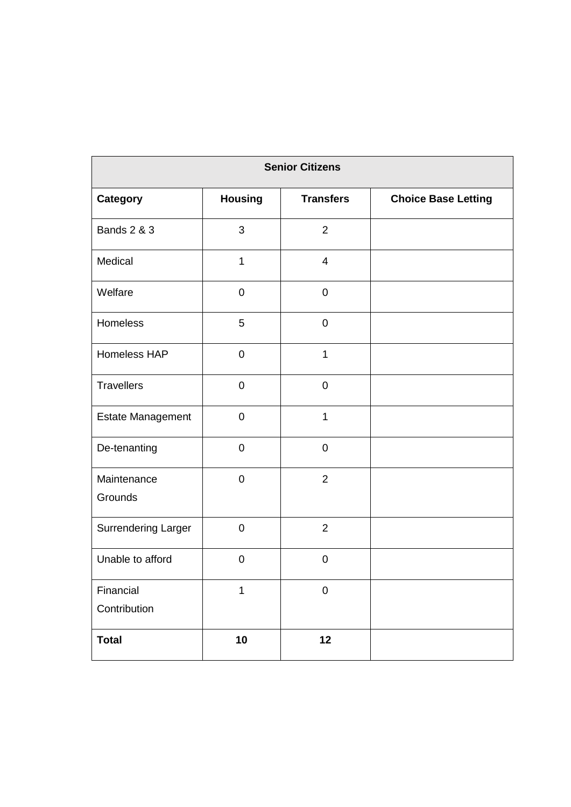| <b>Senior Citizens</b>    |                |                  |                            |
|---------------------------|----------------|------------------|----------------------------|
| <b>Category</b>           | <b>Housing</b> | <b>Transfers</b> | <b>Choice Base Letting</b> |
| <b>Bands 2 &amp; 3</b>    | $\mathfrak{B}$ | $\overline{2}$   |                            |
| Medical                   | $\mathbf{1}$   | $\overline{4}$   |                            |
| Welfare                   | $\mathbf 0$    | $\mathbf 0$      |                            |
| Homeless                  | 5              | $\mathbf 0$      |                            |
| Homeless HAP              | $\mathbf 0$    | 1                |                            |
| <b>Travellers</b>         | $\mathbf 0$    | $\mathbf 0$      |                            |
| Estate Management         | $\mathbf 0$    | $\mathbf{1}$     |                            |
| De-tenanting              | $\mathbf 0$    | $\mathbf 0$      |                            |
| Maintenance<br>Grounds    | $\mathbf 0$    | $\overline{2}$   |                            |
| Surrendering Larger       | $\mathbf 0$    | $\overline{2}$   |                            |
| Unable to afford          | $\mathbf 0$    | $\mathbf 0$      |                            |
| Financial<br>Contribution | 1              | $\pmb{0}$        |                            |
| <b>Total</b>              | 10             | 12               |                            |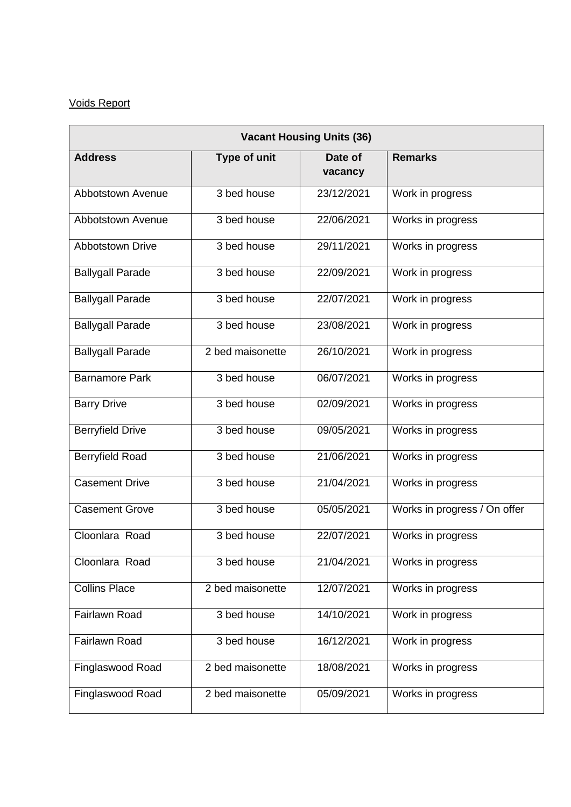## Voids Report

| <b>Vacant Housing Units (36)</b> |                  |                    |                              |
|----------------------------------|------------------|--------------------|------------------------------|
| <b>Address</b>                   | Type of unit     | Date of<br>vacancy | <b>Remarks</b>               |
| Abbotstown Avenue                | 3 bed house      | 23/12/2021         | Work in progress             |
| Abbotstown Avenue                | 3 bed house      | 22/06/2021         | Works in progress            |
| <b>Abbotstown Drive</b>          | 3 bed house      | 29/11/2021         | Works in progress            |
| <b>Ballygall Parade</b>          | 3 bed house      | 22/09/2021         | Work in progress             |
| <b>Ballygall Parade</b>          | 3 bed house      | 22/07/2021         | Work in progress             |
| <b>Ballygall Parade</b>          | 3 bed house      | 23/08/2021         | Work in progress             |
| <b>Ballygall Parade</b>          | 2 bed maisonette | 26/10/2021         | Work in progress             |
| <b>Barnamore Park</b>            | 3 bed house      | 06/07/2021         | Works in progress            |
| <b>Barry Drive</b>               | 3 bed house      | 02/09/2021         | Works in progress            |
| <b>Berryfield Drive</b>          | 3 bed house      | 09/05/2021         | Works in progress            |
| <b>Berryfield Road</b>           | 3 bed house      | 21/06/2021         | Works in progress            |
| <b>Casement Drive</b>            | 3 bed house      | 21/04/2021         | Works in progress            |
| <b>Casement Grove</b>            | 3 bed house      | 05/05/2021         | Works in progress / On offer |
| Cloonlara Road                   | 3 bed house      | 22/07/2021         | Works in progress            |
| Cloonlara Road                   | 3 bed house      | 21/04/2021         | Works in progress            |
| <b>Collins Place</b>             | 2 bed maisonette | 12/07/2021         | Works in progress            |
| <b>Fairlawn Road</b>             | 3 bed house      | 14/10/2021         | Work in progress             |
| Fairlawn Road                    | 3 bed house      | 16/12/2021         | Work in progress             |
| Finglaswood Road                 | 2 bed maisonette | 18/08/2021         | Works in progress            |
| Finglaswood Road                 | 2 bed maisonette | 05/09/2021         | Works in progress            |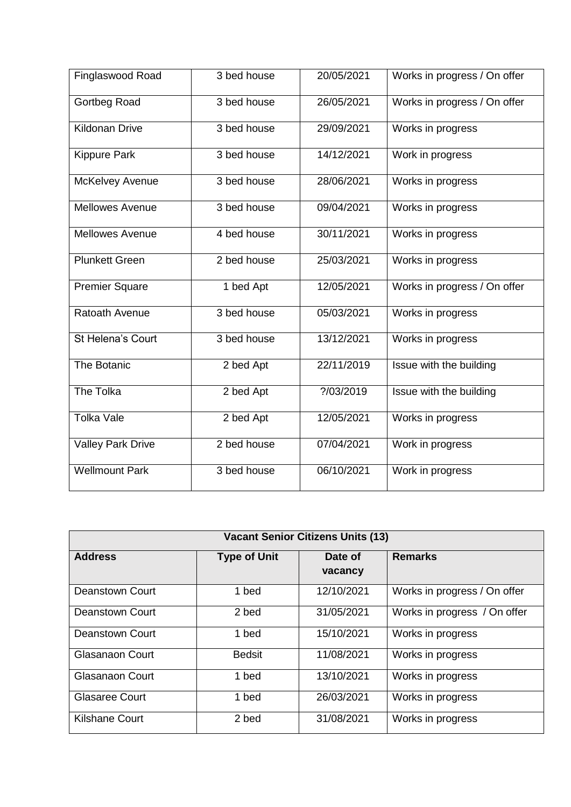| Finglaswood Road         | 3 bed house              | 20/05/2021 | Works in progress / On offer |
|--------------------------|--------------------------|------------|------------------------------|
| Gortbeg Road             | 3 bed house              | 26/05/2021 | Works in progress / On offer |
| <b>Kildonan Drive</b>    | 3 bed house              | 29/09/2021 | Works in progress            |
| <b>Kippure Park</b>      | 3 bed house              | 14/12/2021 | Work in progress             |
| McKelvey Avenue          | 3 bed house              | 28/06/2021 | Works in progress            |
| <b>Mellowes Avenue</b>   | 3 bed house              | 09/04/2021 | Works in progress            |
| <b>Mellowes Avenue</b>   | 4 bed house              | 30/11/2021 | Works in progress            |
| <b>Plunkett Green</b>    | $\overline{2}$ bed house | 25/03/2021 | Works in progress            |
| <b>Premier Square</b>    | 1 bed Apt                | 12/05/2021 | Works in progress / On offer |
| Ratoath Avenue           | 3 bed house              | 05/03/2021 | Works in progress            |
| St Helena's Court        | 3 bed house              | 13/12/2021 | Works in progress            |
| The Botanic              | 2 bed Apt                | 22/11/2019 | Issue with the building      |
| <b>The Tolka</b>         | 2 bed Apt                | ?/03/2019  | Issue with the building      |
| <b>Tolka Vale</b>        | 2 bed Apt                | 12/05/2021 | Works in progress            |
| <b>Valley Park Drive</b> | 2 bed house              | 07/04/2021 | Work in progress             |
| <b>Wellmount Park</b>    | 3 bed house              | 06/10/2021 | Work in progress             |

| <b>Vacant Senior Citizens Units (13)</b> |                     |                    |                              |
|------------------------------------------|---------------------|--------------------|------------------------------|
| <b>Address</b>                           | <b>Type of Unit</b> | Date of<br>vacancy | <b>Remarks</b>               |
| Deanstown Court                          | 1 bed               | 12/10/2021         | Works in progress / On offer |
| Deanstown Court                          | 2 bed               | 31/05/2021         | Works in progress / On offer |
| <b>Deanstown Court</b>                   | 1 bed               | 15/10/2021         | Works in progress            |
| Glasanaon Court                          | <b>Bedsit</b>       | 11/08/2021         | Works in progress            |
| Glasanaon Court                          | 1 bed               | 13/10/2021         | Works in progress            |
| <b>Glasaree Court</b>                    | 1 bed               | 26/03/2021         | Works in progress            |
| <b>Kilshane Court</b>                    | 2 bed               | 31/08/2021         | Works in progress            |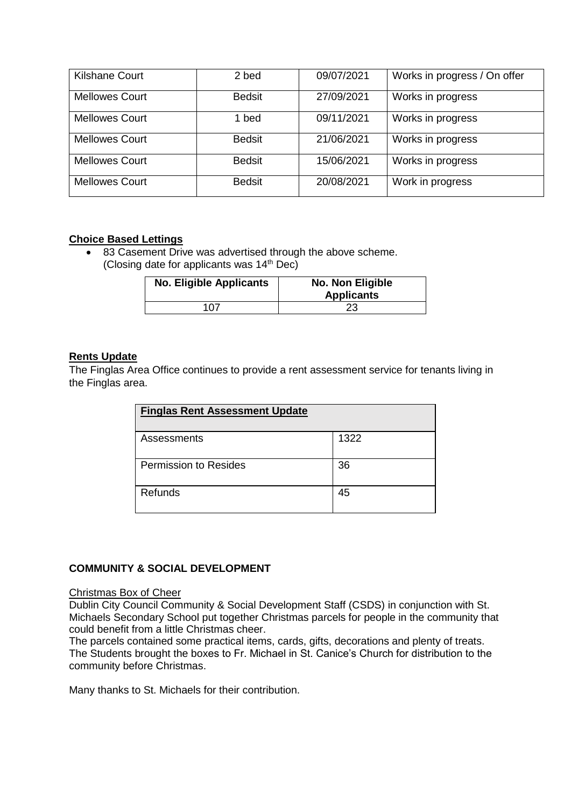| <b>Kilshane Court</b> | 2 bed         | 09/07/2021 | Works in progress / On offer |
|-----------------------|---------------|------------|------------------------------|
| <b>Mellowes Court</b> | <b>Bedsit</b> | 27/09/2021 | Works in progress            |
| <b>Mellowes Court</b> | 1 bed         | 09/11/2021 | Works in progress            |
| <b>Mellowes Court</b> | <b>Bedsit</b> | 21/06/2021 | Works in progress            |
| <b>Mellowes Court</b> | <b>Bedsit</b> | 15/06/2021 | Works in progress            |
| <b>Mellowes Court</b> | <b>Bedsit</b> | 20/08/2021 | Work in progress             |

#### **Choice Based Lettings**

• 83 Casement Drive was advertised through the above scheme. (Closing date for applicants was  $14<sup>th</sup>$  Dec)

| <b>No. Eligible Applicants</b> | No. Non Eligible<br><b>Applicants</b> |
|--------------------------------|---------------------------------------|
| 107                            | 23                                    |

#### **Rents Update**

The Finglas Area Office continues to provide a rent assessment service for tenants living in the Finglas area.

| <b>Finglas Rent Assessment Update</b> |      |
|---------------------------------------|------|
| Assessments                           | 1322 |
| Permission to Resides                 | 36   |
| Refunds                               | 45   |

#### **COMMUNITY & SOCIAL DEVELOPMENT**

#### Christmas Box of Cheer

Dublin City Council Community & Social Development Staff (CSDS) in conjunction with St. Michaels Secondary School put together Christmas parcels for people in the community that could benefit from a little Christmas cheer.

The parcels contained some practical items, cards, gifts, decorations and plenty of treats. The Students brought the boxes to Fr. Michael in St. Canice's Church for distribution to the community before Christmas.

Many thanks to St. Michaels for their contribution.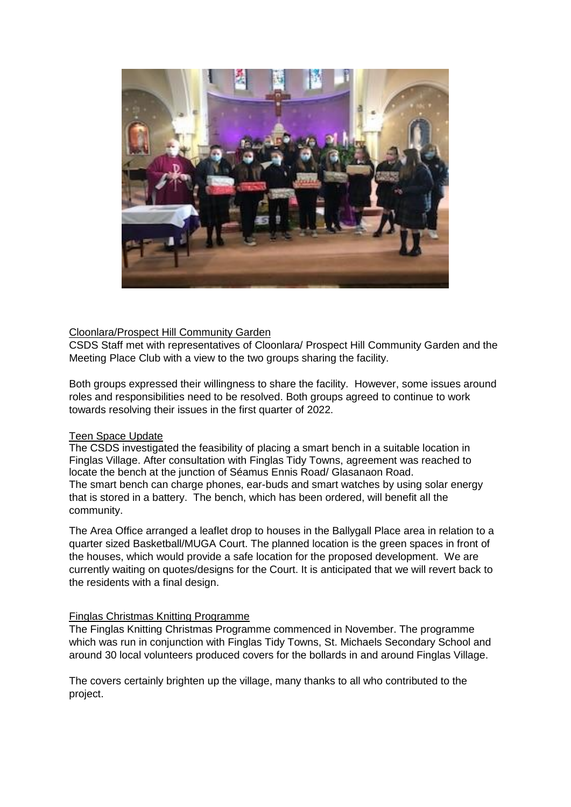

#### Cloonlara/Prospect Hill Community Garden

CSDS Staff met with representatives of Cloonlara/ Prospect Hill Community Garden and the Meeting Place Club with a view to the two groups sharing the facility.

Both groups expressed their willingness to share the facility. However, some issues around roles and responsibilities need to be resolved. Both groups agreed to continue to work towards resolving their issues in the first quarter of 2022.

#### Teen Space Update

The CSDS investigated the feasibility of placing a smart bench in a suitable location in Finglas Village. After consultation with Finglas Tidy Towns, agreement was reached to locate the bench at the junction of Séamus Ennis Road/ Glasanaon Road. The smart bench can charge phones, ear-buds and smart watches by using solar energy that is stored in a battery. The bench, which has been ordered, will benefit all the community.

The Area Office arranged a leaflet drop to houses in the Ballygall Place area in relation to a quarter sized Basketball/MUGA Court. The planned location is the green spaces in front of the houses, which would provide a safe location for the proposed development. We are currently waiting on quotes/designs for the Court. It is anticipated that we will revert back to the residents with a final design.

#### Finglas Christmas Knitting Programme

The Finglas Knitting Christmas Programme commenced in November. The programme which was run in conjunction with Finglas Tidy Towns, St. Michaels Secondary School and around 30 local volunteers produced covers for the bollards in and around Finglas Village.

The covers certainly brighten up the village, many thanks to all who contributed to the project.